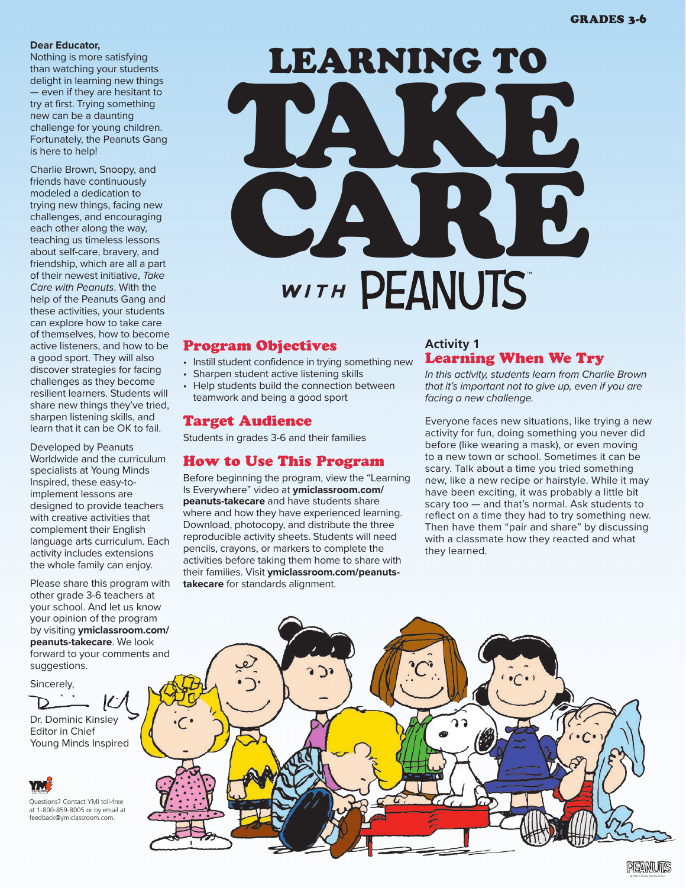#### **Dear Educator,**

Nothing is more satisfying than watching your students delight in learning new things — even if they are hesitant to try at first. Trying something new can be a daunting challenge for young children. Fortunately, the Peanuts Gang is here to help!

Charlie Brown, Snoopy, and friends have continuously modeled a dedication to trying new things, facing new challenges, and encouraging each other along the way, teaching us timeless lessons about self-care, bravery, and friendship, which are all a part of their newest initiative, *Take Care with Peanuts*. With the help of the Peanuts Gang and these activities, your students can explore how to take care of themselves, how to become active listeners, and how to be a good sport. They will also discover strategies for facing challenges as they become resilient learners. Students will share new things they've tried, sharpen listening skills, and learn that it can be OK to fail.

Developed by Peanuts Worldwide and the curriculum specialists at Young Minds Inspired, these easy-toimplement lessons are designed to provide teachers with creative activities that complement their English language arts curriculum. Each activity includes extensions the whole family can enjoy.

Please share this program with other grade 3-6 teachers at your school. And let us know your opinion of the program by visiting **ymiclassroom.com/ peanuts-takecare**. We look forward to your comments and suggestions.

Sincerely,

Dr. Dominic Kinsley Editor in Chief Young Minds Inspired





## Program Objectives

- Instill student confidence in trying something new
- Sharpen student active listening skills
- Help students build the connection between teamwork and being a good sport

# Target Audience

Students in grades 3-6 and their families

# How to Use This Program

Before beginning the program, view the "Learning Is Everywhere" video at **ymiclassroom.com/ peanuts-takecare** and have students share where and how they have experienced learning. Download, photocopy, and distribute the three reproducible activity sheets. Students will need pencils, crayons, or markers to complete the activities before taking them home to share with their families. Visit **ymiclassroom.com/peanutstakecare** for standards alignment.

## **Activity 1** Learning When We Try

*In this activity, students learn from Charlie Brown that it's important not to give up, even if you are facing a new challenge.*

Everyone faces new situations, like trying a new activity for fun, doing something you never did before (like wearing a mask), or even moving to a new town or school. Sometimes it can be scary. Talk about a time you tried something new, like a new recipe or hairstyle. While it may have been exciting, it was probably a little bit scary too — and that's normal. Ask students to reflect on a time they had to try something new. Then have them "pair and share" by discussing with a classmate how they reacted and what they learned.

© 2021 Peanuts Worldwide LLC

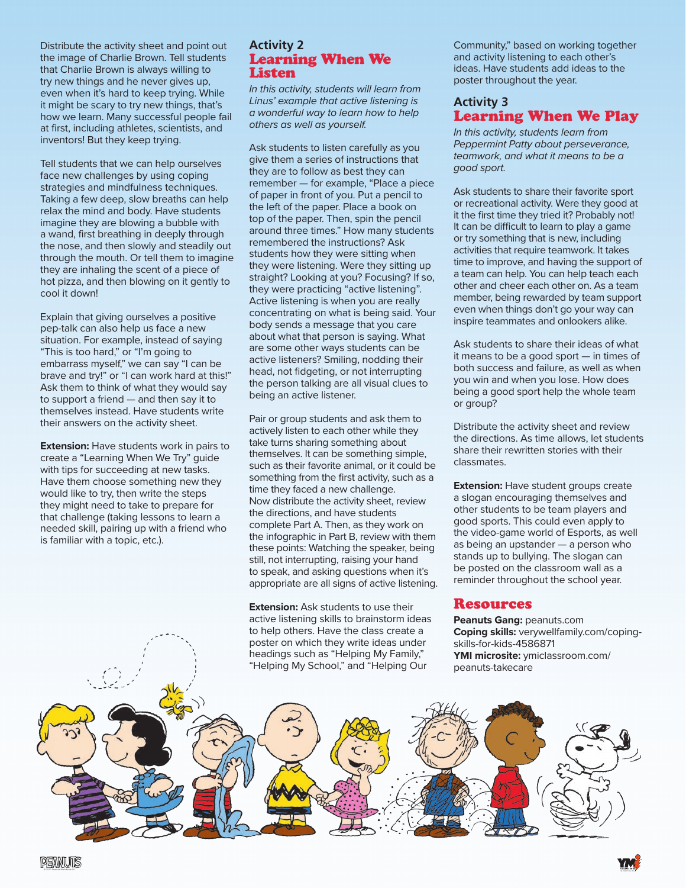Distribute the activity sheet and point out the image of Charlie Brown. Tell students that Charlie Brown is always willing to try new things and he never gives up, even when it's hard to keep trying. While it might be scary to try new things, that's how we learn. Many successful people fail at first, including athletes, scientists, and inventors! But they keep trying.

Tell students that we can help ourselves face new challenges by using coping strategies and mindfulness techniques. Taking a few deep, slow breaths can help relax the mind and body. Have students imagine they are blowing a bubble with a wand, first breathing in deeply through the nose, and then slowly and steadily out through the mouth. Or tell them to imagine they are inhaling the scent of a piece of hot pizza, and then blowing on it gently to cool it down!

Explain that giving ourselves a positive pep-talk can also help us face a new situation. For example, instead of saying "This is too hard," or "I'm going to embarrass myself," we can say "I can be brave and try!" or "I can work hard at this!" Ask them to think of what they would say to support a friend — and then say it to themselves instead. Have students write their answers on the activity sheet.

**Extension:** Have students work in pairs to create a "Learning When We Try" guide with tips for succeeding at new tasks. Have them choose something new they would like to try, then write the steps they might need to take to prepare for that challenge (taking lessons to learn a needed skill, pairing up with a friend who is familiar with a topic, etc.).

### **Activity 2** Learning When We **Listen**

*In this activity, students will learn from Linus' example that active listening is a wonderful way to learn how to help others as well as yourself.* 

Ask students to listen carefully as you give them a series of instructions that they are to follow as best they can remember — for example, "Place a piece of paper in front of you. Put a pencil to the left of the paper. Place a book on top of the paper. Then, spin the pencil around three times." How many students remembered the instructions? Ask students how they were sitting when they were listening. Were they sitting up straight? Looking at you? Focusing? If so, they were practicing "active listening". Active listening is when you are really concentrating on what is being said. Your body sends a message that you care about what that person is saying. What are some other ways students can be active listeners? Smiling, nodding their head, not fidgeting, or not interrupting the person talking are all visual clues to being an active listener.

Pair or group students and ask them to actively listen to each other while they take turns sharing something about themselves. It can be something simple, such as their favorite animal, or it could be something from the first activity, such as a time they faced a new challenge. Now distribute the activity sheet, review the directions, and have students complete Part A. Then, as they work on the infographic in Part B, review with them these points: Watching the speaker, being still, not interrupting, raising your hand to speak, and asking questions when it's appropriate are all signs of active listening.

**Extension:** Ask students to use their active listening skills to brainstorm ideas to help others. Have the class create a poster on which they write ideas under headings such as "Helping My Family," "Helping My School," and "Helping Our

Community," based on working together and activity listening to each other's ideas. Have students add ideas to the poster throughout the year.

## **Activity 3** Learning When We Play

*In this activity, students learn from Peppermint Patty about perseverance, teamwork, and what it means to be a good sport.*

Ask students to share their favorite sport or recreational activity. Were they good at it the first time they tried it? Probably not! It can be difficult to learn to play a game or try something that is new, including activities that require teamwork. It takes time to improve, and having the support of a team can help. You can help teach each other and cheer each other on. As a team member, being rewarded by team support even when things don't go your way can inspire teammates and onlookers alike.

Ask students to share their ideas of what it means to be a good sport — in times of both success and failure, as well as when you win and when you lose. How does being a good sport help the whole team or group?

Distribute the activity sheet and review the directions. As time allows, let students share their rewritten stories with their classmates.

**Extension:** Have student groups create a slogan encouraging themselves and other students to be team players and good sports. This could even apply to the video-game world of Esports, as well as being an upstander — a person who stands up to bullying. The slogan can be posted on the classroom wall as a reminder throughout the school year.

#### Resources

**Peanuts Gang:** peanuts.com **Coping skills:** verywellfamily.com/copingskills-for-kids-4586871 **YMI microsite:** ymiclassroom.com/ peanuts-takecare

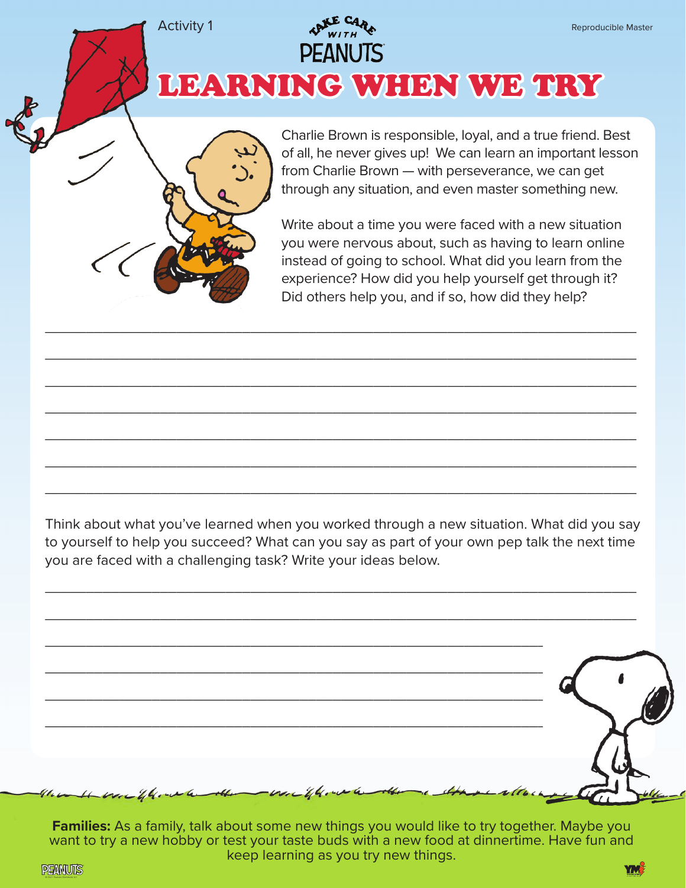LEARNING WHEN WE TRY

**PEANUTS** 

Charlie Brown is responsible, loyal, and a true friend. Best of all, he never gives up! We can learn an important lesson from Charlie Brown — with perseverance, we can get through any situation, and even master something new.

Write about a time you were faced with a new situation you were nervous about, such as having to learn online instead of going to school. What did you learn from the experience? How did you help yourself get through it? Did others help you, and if so, how did they help?

Think about what you've learned when you worked through a new situation. What did you say to yourself to help you succeed? What can you say as part of your own pep talk the next time you are faced with a challenging task? Write your ideas below.

\_\_\_\_\_\_\_\_\_\_\_\_\_\_\_\_\_\_\_\_\_\_\_\_\_\_\_\_\_\_\_\_\_\_\_\_\_\_\_\_\_\_\_\_\_\_\_\_\_\_\_\_\_\_\_\_\_\_\_\_\_\_\_\_\_\_\_\_\_\_\_\_

\_\_\_\_\_\_\_\_\_\_\_\_\_\_\_\_\_\_\_\_\_\_\_\_\_\_\_\_\_\_\_\_\_\_\_\_\_\_\_\_\_\_\_\_\_\_\_\_\_\_\_\_\_\_\_\_\_\_\_\_\_\_\_\_\_\_\_\_\_\_\_\_

 $\overline{\phantom{a}}$  , and the contract of the contract of the contract of the contract of the contract of the contract of the contract of the contract of the contract of the contract of the contract of the contract of the contrac

 $\overline{\phantom{a}}$  , and the contract of the contract of the contract of the contract of the contract of the contract of the contract of the contract of the contract of the contract of the contract of the contract of the contrac

 $\overline{\phantom{a}}$  , and the contract of the contract of the contract of the contract of the contract of the contract of the contract of the contract of the contract of the contract of the contract of the contract of the contrac

 $\overline{\phantom{a}}$  , and the contract of the contract of the contract of the contract of the contract of the contract of the contract of the contract of the contract of the contract of the contract of the contract of the contrac

 $\overline{\phantom{a}}$  , and the contract of the contract of the contract of the contract of the contract of the contract of the contract of the contract of the contract of the contract of the contract of the contract of the contrac

 $\overline{\phantom{a}}$  , and the contract of the contract of the contract of the contract of the contract of the contract of the contract of the contract of the contract of the contract of the contract of the contract of the contrac

 $\overline{\phantom{a}}$  , and the contract of the contract of the contract of the contract of the contract of the contract of the contract of the contract of the contract of the contract of the contract of the contract of the contrac

| $\sqrt{100}$         |                                                              |
|----------------------|--------------------------------------------------------------|
|                      |                                                              |
|                      |                                                              |
| $\frac{1}{2}$        |                                                              |
|                      |                                                              |
| $\overrightarrow{r}$ | the the war the weather the war the water the a three alloch |

**Families:** As a family, talk about some new things you would like to try together. Maybe you want to try a new hobby or test your taste buds with a new food at dinnertime. Have fun and keep learning as you try new things.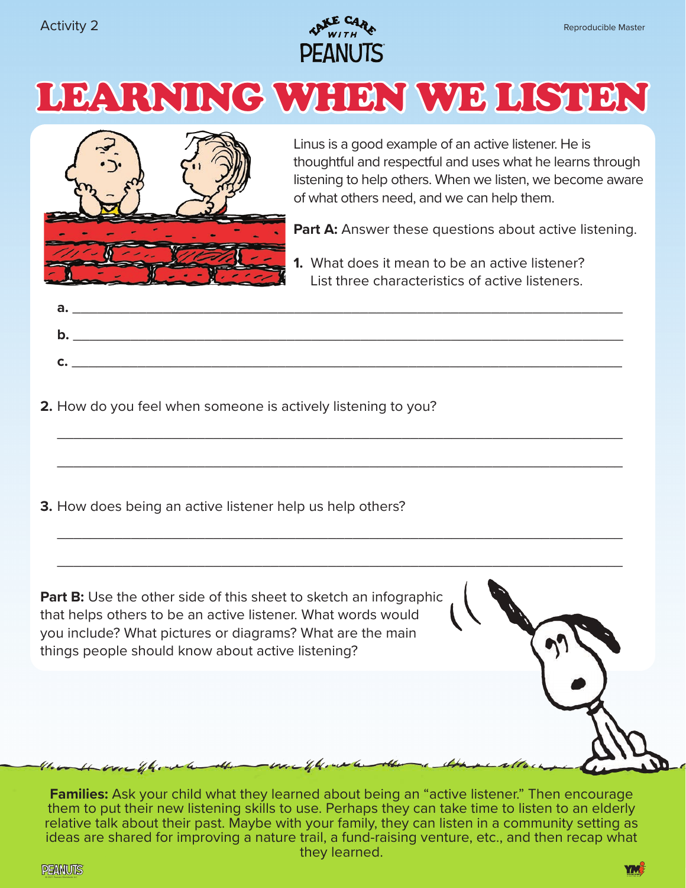





Linus is a good example of an active listener. He is thoughtful and respectful and uses what he learns through listening to help others. When we listen, we become aware of what others need, and we can help them.

**Part A:** Answer these questions about active listening.

**1.** What does it mean to be an active listener? List three characteristics of active listeners.

\_\_\_\_\_\_\_\_\_\_\_\_\_\_\_\_\_\_\_\_\_\_\_\_\_\_\_\_\_\_\_\_\_\_\_\_\_\_\_\_\_\_\_\_\_\_\_\_\_\_\_\_\_\_\_\_\_\_\_\_\_\_\_\_\_\_\_\_\_

 $\_$ 

 $\_$ 

\_\_\_\_\_\_\_\_\_\_\_\_\_\_\_\_\_\_\_\_\_\_\_\_\_\_\_\_\_\_\_\_\_\_\_\_\_\_\_\_\_\_\_\_\_\_\_\_\_\_\_\_\_\_\_\_\_\_\_\_\_\_\_\_\_\_\_\_\_

**2.** How do you feel when someone is actively listening to you?

**3.** How does being an active listener help us help others?

**Part B:** Use the other side of this sheet to sketch an infographic that helps others to be an active listener. What words would you include? What pictures or diagrams? What are the main things people should know about active listening?

the control was the the the way of the the and the seattle

**Families:** Ask your child what they learned about being an "active listener." Then encourage them to put their new listening skills to use. Perhaps they can take time to listen to an elderly relative talk about their past. Maybe with your family, they can listen in a community setting as ideas are shared for improving a nature trail, a fund-raising venture, etc., and then recap what they learned.

**PEANUTS** © 2021 YMI, Inc. © 2021 Peanuts Worldwide LLC